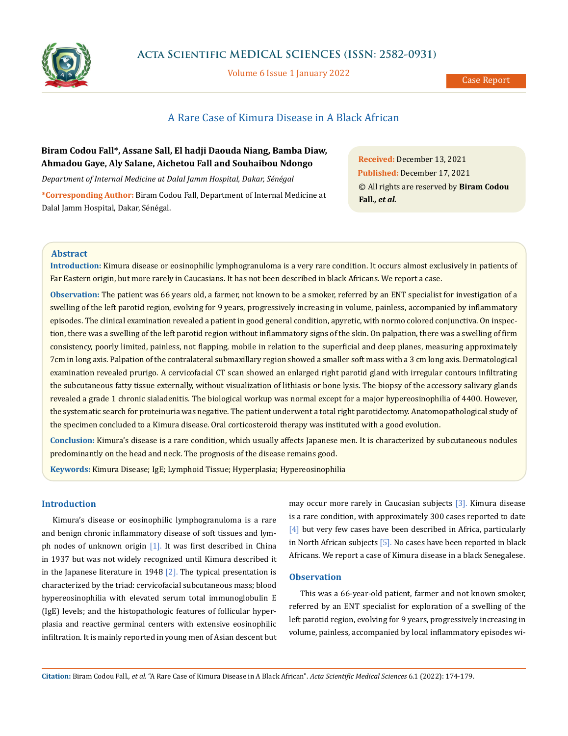

Volume 6 Issue 1 January 2022

# A Rare Case of Kimura Disease in A Black African

## **Biram Codou Fall\*, Assane Sall, El hadji Daouda Niang, Bamba Diaw, Ahmadou Gaye, Aly Salane, Aichetou Fall and Souhaibou Ndongo**

*Department of Internal Medicine at Dalal Jamm Hospital, Dakar, Sénégal*

**\*Corresponding Author:** Biram Codou Fall, Department of Internal Medicine at Dalal Jamm Hospital, Dakar, Sénégal.

**Received:** December 13, 2021 **Published:** December 17, 2021 © All rights are reserved by **Biram Codou Fall***., et al.*

## **Abstract**

**Introduction:** Kimura disease or eosinophilic lymphogranuloma is a very rare condition. It occurs almost exclusively in patients of Far Eastern origin, but more rarely in Caucasians. It has not been described in black Africans. We report a case.

**Observation:** The patient was 66 years old, a farmer, not known to be a smoker, referred by an ENT specialist for investigation of a swelling of the left parotid region, evolving for 9 years, progressively increasing in volume, painless, accompanied by inflammatory episodes. The clinical examination revealed a patient in good general condition, apyretic, with normo colored conjunctiva. On inspection, there was a swelling of the left parotid region without inflammatory signs of the skin. On palpation, there was a swelling of firm consistency, poorly limited, painless, not flapping, mobile in relation to the superficial and deep planes, measuring approximately 7cm in long axis. Palpation of the contralateral submaxillary region showed a smaller soft mass with a 3 cm long axis. Dermatological examination revealed prurigo. A cervicofacial CT scan showed an enlarged right parotid gland with irregular contours infiltrating the subcutaneous fatty tissue externally, without visualization of lithiasis or bone lysis. The biopsy of the accessory salivary glands revealed a grade 1 chronic sialadenitis. The biological workup was normal except for a major hypereosinophilia of 4400. However, the systematic search for proteinuria was negative. The patient underwent a total right parotidectomy. Anatomopathological study of the specimen concluded to a Kimura disease. Oral corticosteroid therapy was instituted with a good evolution.

**Conclusion:** Kimura's disease is a rare condition, which usually affects Japanese men. It is characterized by subcutaneous nodules predominantly on the head and neck. The prognosis of the disease remains good.

**Keywords:** Kimura Disease; IgE; Lymphoid Tissue; Hyperplasia; Hypereosinophilia

## **Introduction**

Kimura's disease or eosinophilic lymphogranuloma is a rare and benign chronic inflammatory disease of soft tissues and lymph nodes of unknown origin [1]. It was first described in China in 1937 but was not widely recognized until Kimura described it in the Japanese literature in 1948  $[2]$ . The typical presentation is characterized by the triad: cervicofacial subcutaneous mass; blood hypereosinophilia with elevated serum total immunoglobulin E (IgE) levels; and the histopathologic features of follicular hyperplasia and reactive germinal centers with extensive eosinophilic infiltration. It is mainly reported in young men of Asian descent but

may occur more rarely in Caucasian subjects [3]. Kimura disease is a rare condition, with approximately 300 cases reported to date [4] but very few cases have been described in Africa, particularly in North African subjects  $[5]$ . No cases have been reported in black Africans. We report a case of Kimura disease in a black Senegalese.

## **Observation**

This was a 66-year-old patient, farmer and not known smoker, referred by an ENT specialist for exploration of a swelling of the left parotid region, evolving for 9 years, progressively increasing in volume, painless, accompanied by local inflammatory episodes wi-

**Citation:** Biram Codou Fall*., et al.* "A Rare Case of Kimura Disease in A Black African". *Acta Scientific Medical Sciences* 6.1 (2022): 174-179.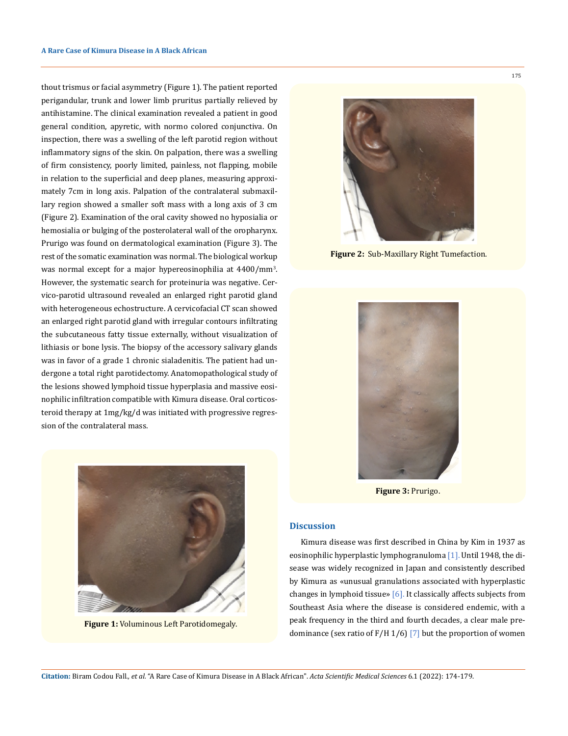thout trismus or facial asymmetry (Figure 1). The patient reported perigandular, trunk and lower limb pruritus partially relieved by antihistamine. The clinical examination revealed a patient in good general condition, apyretic, with normo colored conjunctiva. On inspection, there was a swelling of the left parotid region without inflammatory signs of the skin. On palpation, there was a swelling of firm consistency, poorly limited, painless, not flapping, mobile in relation to the superficial and deep planes, measuring approximately 7cm in long axis. Palpation of the contralateral submaxillary region showed a smaller soft mass with a long axis of 3 cm (Figure 2). Examination of the oral cavity showed no hyposialia or hemosialia or bulging of the posterolateral wall of the oropharynx. Prurigo was found on dermatological examination (Figure 3). The rest of the somatic examination was normal. The biological workup was normal except for a major hypereosinophilia at 4400/mm3 . However, the systematic search for proteinuria was negative. Cervico-parotid ultrasound revealed an enlarged right parotid gland with heterogeneous echostructure. A cervicofacial CT scan showed an enlarged right parotid gland with irregular contours infiltrating the subcutaneous fatty tissue externally, without visualization of lithiasis or bone lysis. The biopsy of the accessory salivary glands was in favor of a grade 1 chronic sialadenitis. The patient had undergone a total right parotidectomy. Anatomopathological study of the lesions showed lymphoid tissue hyperplasia and massive eosinophilic infiltration compatible with Kimura disease. Oral corticosteroid therapy at 1mg/kg/d was initiated with progressive regression of the contralateral mass.



**Figure 2:** Sub-Maxillary Right Tumefaction.



**Figure 3:** Prurigo.

## **Discussion**

Kimura disease was first described in China by Kim in 1937 as eosinophilic hyperplastic lymphogranuloma [1]. Until 1948, the disease was widely recognized in Japan and consistently described by Kimura as «unusual granulations associated with hyperplastic changes in lymphoid tissue» [6]. It classically affects subjects from Southeast Asia where the disease is considered endemic, with a peak frequency in the third and fourth decades, a clear male predominance (sex ratio of  $F/H$  1/6) [7] but the proportion of women



**Figure 1:** Voluminous Left Parotidomegaly.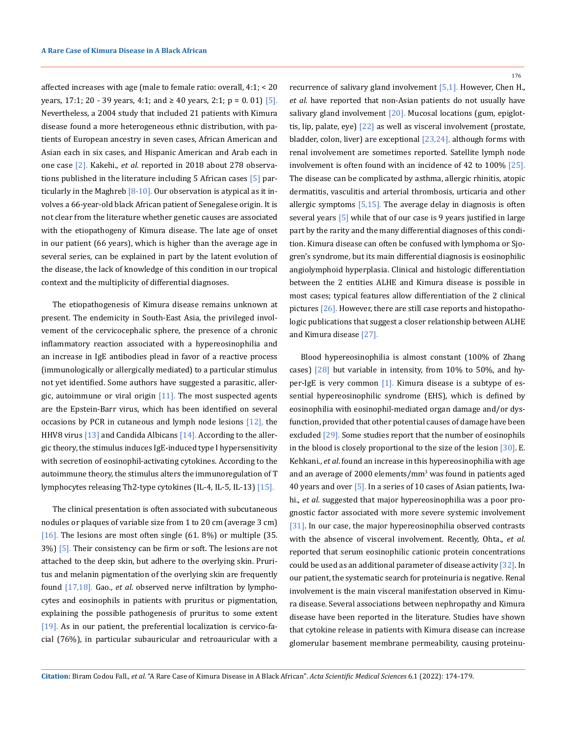affected increases with age (male to female ratio: overall, 4:1; < 20 years, 17:1; 20 - 39 years, 4:1; and ≥ 40 years, 2:1; p = 0.01) [5]. Nevertheless, a 2004 study that included 21 patients with Kimura disease found a more heterogeneous ethnic distribution, with patients of European ancestry in seven cases, African American and Asian each in six cases, and Hispanic American and Arab each in one case [2]. Kakehi., *et al*. reported in 2018 about 278 observations published in the literature including 5 African cases [5] particularly in the Maghreb  $[8-10]$ . Our observation is atypical as it involves a 66-year-old black African patient of Senegalese origin. It is not clear from the literature whether genetic causes are associated with the etiopathogeny of Kimura disease. The late age of onset in our patient (66 years), which is higher than the average age in several series, can be explained in part by the latent evolution of the disease, the lack of knowledge of this condition in our tropical context and the multiplicity of differential diagnoses.

The etiopathogenesis of Kimura disease remains unknown at present. The endemicity in South-East Asia, the privileged involvement of the cervicocephalic sphere, the presence of a chronic inflammatory reaction associated with a hypereosinophilia and an increase in IgE antibodies plead in favor of a reactive process (immunologically or allergically mediated) to a particular stimulus not yet identified. Some authors have suggested a parasitic, allergic, autoimmune or viral origin  $[11]$ . The most suspected agents are the Epstein-Barr virus, which has been identified on several occasions by PCR in cutaneous and lymph node lesions [12], the HHV8 virus [13] and Candida Albicans [14]. According to the allergic theory, the stimulus induces IgE-induced type I hypersensitivity with secretion of eosinophil-activating cytokines. According to the autoimmune theory, the stimulus alters the immunoregulation of T lymphocytes releasing Th2-type cytokines (IL-4, IL-5, IL-13) [15].

The clinical presentation is often associated with subcutaneous nodules or plaques of variable size from 1 to 20 cm (average 3 cm) [16]. The lesions are most often single (61. 8%) or multiple (35. 3%) [5]. Their consistency can be firm or soft. The lesions are not attached to the deep skin, but adhere to the overlying skin. Pruritus and melanin pigmentation of the overlying skin are frequently found [17,18]. Gao., *et al*. observed nerve infiltration by lymphocytes and eosinophils in patients with pruritus or pigmentation, explaining the possible pathogenesis of pruritus to some extent [19]. As in our patient, the preferential localization is cervico-facial (76%), in particular subauricular and retroauricular with a 176

recurrence of salivary gland involvement [5,1]. However, Chen H., *et al*. have reported that non-Asian patients do not usually have salivary gland involvement [20]. Mucosal locations (gum, epiglottis, lip, palate, eye) [22] as well as visceral involvement (prostate, bladder, colon, liver) are exceptional  $[23,24]$ , although forms with renal involvement are sometimes reported. Satellite lymph node involvement is often found with an incidence of 42 to 100% [25]. The disease can be complicated by asthma, allergic rhinitis, atopic dermatitis, vasculitis and arterial thrombosis, urticaria and other allergic symptoms [5,15]. The average delay in diagnosis is often several years [5] while that of our case is 9 years justified in large part by the rarity and the many differential diagnoses of this condition. Kimura disease can often be confused with lymphoma or Sjogren's syndrome, but its main differential diagnosis is eosinophilic angiolymphoid hyperplasia. Clinical and histologic differentiation between the 2 entities ALHE and Kimura disease is possible in most cases; typical features allow differentiation of the 2 clinical pictures [26]. However, there are still case reports and histopathologic publications that suggest a closer relationship between ALHE and Kimura disease [27].

Blood hypereosinophilia is almost constant (100% of Zhang cases)  $\lceil 28 \rceil$  but variable in intensity, from 10% to 50%, and hyper-IgE is very common [1]. Kimura disease is a subtype of essential hypereosinophilic syndrome (EHS), which is defined by eosinophilia with eosinophil-mediated organ damage and/or dysfunction, provided that other potential causes of damage have been excluded [29]. Some studies report that the number of eosinophils in the blood is closely proportional to the size of the lesion [30]. E. Kehkani., *et al*. found an increase in this hypereosinophilia with age and an average of 2000 elements/mm<sup>3</sup> was found in patients aged 40 years and over [5]. In a series of 10 cases of Asian patients, Iwahi., *et al*. suggested that major hypereosinophilia was a poor prognostic factor associated with more severe systemic involvement [31]. In our case, the major hypereosinophilia observed contrasts with the absence of visceral involvement. Recently, Ohta., *et al*. reported that serum eosinophilic cationic protein concentrations could be used as an additional parameter of disease activity [32]. In our patient, the systematic search for proteinuria is negative. Renal involvement is the main visceral manifestation observed in Kimura disease. Several associations between nephropathy and Kimura disease have been reported in the literature. Studies have shown that cytokine release in patients with Kimura disease can increase glomerular basement membrane permeability, causing proteinu-

**Citation:** Biram Codou Fall*., et al.* "A Rare Case of Kimura Disease in A Black African". *Acta Scientific Medical Sciences* 6.1 (2022): 174-179.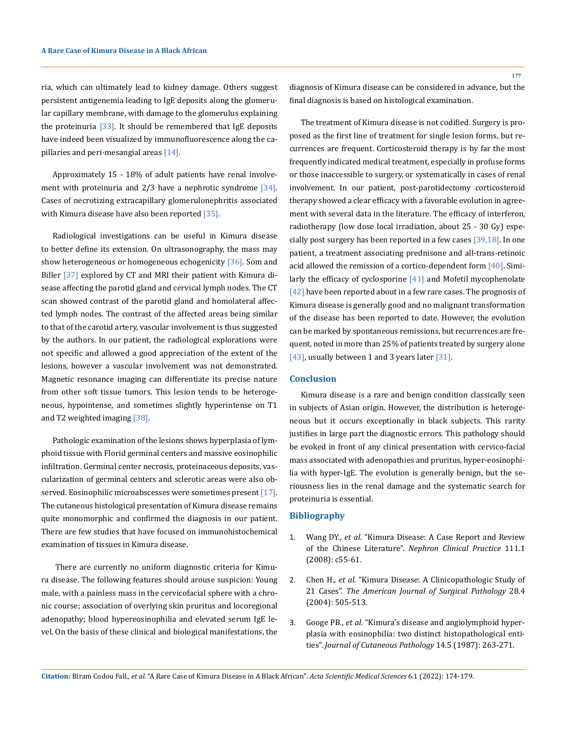ria, which can ultimately lead to kidney damage. Others suggest persistent antigenemia leading to IgE deposits along the glomerular capillary membrane, with damage to the glomerulus explaining the proteinuria  $[33]$ . It should be remembered that IgE deposits have indeed been visualized by immunofluorescence along the capillaries and peri-mesangial areas [14].

Approximately 15 - 18% of adult patients have renal involvement with proteinuria and  $2/3$  have a nephrotic syndrome  $[34]$ . Cases of necrotizing extracapillary glomerulonephritis associated with Kimura disease have also been reported [35].

Radiological investigations can be useful in Kimura disease to better define its extension. On ultrasonography, the mass may show heterogeneous or homogeneous echogenicity [36]. Som and Biller [37] explored by CT and MRI their patient with Kimura disease affecting the parotid gland and cervical lymph nodes. The CT scan showed contrast of the parotid gland and homolateral affected lymph nodes. The contrast of the affected areas being similar to that of the carotid artery, vascular involvement is thus suggested by the authors. In our patient, the radiological explorations were not specific and allowed a good appreciation of the extent of the lesions, however a vascular involvement was not demonstrated. Magnetic resonance imaging can differentiate its precise nature from other soft tissue tumors. This lesion tends to be heterogeneous, hypointense, and sometimes slightly hyperintense on T1 and T2 weighted imaging [38].

Pathologic examination of the lesions shows hyperplasia of lymphoid tissue with Florid germinal centers and massive eosinophilic infiltration. Germinal center necrosis, proteinaceous deposits, vascularization of germinal centers and sclerotic areas were also observed. Eosinophilic microabscesses were sometimes present [17]. The cutaneous histological presentation of Kimura disease remains quite monomorphic and confirmed the diagnosis in our patient. There are few studies that have focused on immunohistochemical examination of tissues in Kimura disease.

There are currently no uniform diagnostic criteria for Kimura disease. The following features should arouse suspicion: Young male, with a painless mass in the cervicofacial sphere with a chronic course; association of overlying skin pruritus and locoregional adenopathy; blood hypereosinophilia and elevated serum IgE level. On the basis of these clinical and biological manifestations, the diagnosis of Kimura disease can be considered in advance, but the final diagnosis is based on histological examination.

The treatment of Kimura disease is not codified. Surgery is proposed as the first line of treatment for single lesion forms, but recurrences are frequent. Corticosteroid therapy is by far the most frequently indicated medical treatment, especially in profuse forms or those inaccessible to surgery, or systematically in cases of renal involvement. In our patient, post-parotidectomy corticosteroid therapy showed a clear efficacy with a favorable evolution in agreement with several data in the literature. The efficacy of interferon, radiotherapy (low dose local irradiation, about 25 - 30 Gy) especially post surgery has been reported in a few cases [39,18]. In one patient, a treatment associating prednisone and all-trans-retinoic acid allowed the remission of a cortico-dependent form  $[40]$ . Similarly the efficacy of cyclosporine [41] and Mofetil mycophenolate [42] have been reported about in a few rare cases. The prognosis of Kimura disease is generally good and no malignant transformation of the disease has been reported to date. However, the evolution can be marked by spontaneous remissions, but recurrences are frequent, noted in more than 25% of patients treated by surgery alone [43], usually between 1 and 3 years later [31].

#### **Conclusion**

Kimura disease is a rare and benign condition classically seen in subjects of Asian origin. However, the distribution is heterogeneous but it occurs exceptionally in black subjects. This rarity justifies in large part the diagnostic errors. This pathology should be evoked in front of any clinical presentation with cervico-facial mass associated with adenopathies and pruritus, hyper-eosinophilia with hyper-IgE. The evolution is generally benign, but the seriousness lies in the renal damage and the systematic search for proteinuria is essential.

## **Bibliography**

- 1. Wang DY., *et al*[. "Kimura Disease: A Case Report and Review](https://pubmed.ncbi.nlm.nih.gov/19052471/) of the Chinese Literature". *[Nephron Clinical Practice](https://pubmed.ncbi.nlm.nih.gov/19052471/)* 111.1 [\(2008\): c55-61.](https://pubmed.ncbi.nlm.nih.gov/19052471/)
- 2. Chen H., *et al*[. "Kimura Disease: A Clinicopathologic Study of](https://pubmed.ncbi.nlm.nih.gov/15087670/) 21 Cases". *[The American Journal of Surgical Pathology](https://pubmed.ncbi.nlm.nih.gov/15087670/)* 28.4 [\(2004\): 505-513.](https://pubmed.ncbi.nlm.nih.gov/15087670/)
- 3. Googe PB., *et al*[. "Kimura's disease and angiolymphoid hyper](https://pubmed.ncbi.nlm.nih.gov/3680714/)[plasia with eosinophilia: two distinct histopathological enti](https://pubmed.ncbi.nlm.nih.gov/3680714/)ties". *[Journal of Cutaneous Pathology](https://pubmed.ncbi.nlm.nih.gov/3680714/)* 14.5 (1987): 263-271.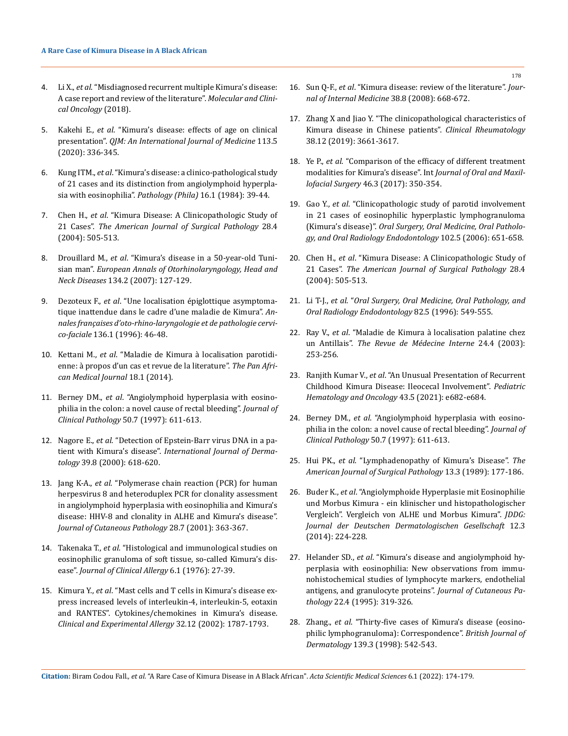- 4. Li X., *et al*[. "Misdiagnosed recurrent multiple Kimura's disease:](https://www.spandidos-publications.com/10.3892/mco.2018.1793)  [A case report and review of the literature".](https://www.spandidos-publications.com/10.3892/mco.2018.1793) *Molecular and Clini[cal Oncology](https://www.spandidos-publications.com/10.3892/mco.2018.1793)* (2018).
- 5. Kakehi E., *et al*[. "Kimura's disease: effects of age on clinical](https://academic.oup.com/qjmed/article/113/5/336/5652101)  presentation". *[QJM: An International Journal of Medicine](https://academic.oup.com/qjmed/article/113/5/336/5652101)* 113.5 [\(2020\): 336-345.](https://academic.oup.com/qjmed/article/113/5/336/5652101)
- 6. Kung ITM., *et al*[. "Kimura's disease: a clinico-pathological study](https://pubmed.ncbi.nlm.nih.gov/6718071/)  [of 21 cases and its distinction from angiolymphoid hyperpla](https://pubmed.ncbi.nlm.nih.gov/6718071/)[sia with eosinophilia".](https://pubmed.ncbi.nlm.nih.gov/6718071/) *Pathology (Phila)* 16.1 (1984): 39-44.
- 7. Chen H., *et al*[. "Kimura Disease: A Clinicopathologic Study of](https://pubmed.ncbi.nlm.nih.gov/15087670/)  21 Cases". *[The American Journal of Surgical Pathology](https://pubmed.ncbi.nlm.nih.gov/15087670/)* 28.4 [\(2004\): 505-513.](https://pubmed.ncbi.nlm.nih.gov/15087670/)
- 8. Drouillard M., *et al*[. "Kimura's disease in a 50-year-old Tuni](https://pubmed.ncbi.nlm.nih.gov/28040460/)sian man". *[European Annals of Otorhinolaryngology, Head and](https://pubmed.ncbi.nlm.nih.gov/28040460/)  Neck Diseases* [134.2 \(2007\): 127-129.](https://pubmed.ncbi.nlm.nih.gov/28040460/)
- 9. Dezoteux F., *et al*[. "Une localisation épiglottique asymptoma](https://www.em-consulte.com/article/1273233/une-localisation-epiglottique-asymptomatique-inatt)[tique inattendue dans le cadre d'une maladie de Kimura".](https://www.em-consulte.com/article/1273233/une-localisation-epiglottique-asymptomatique-inatt) *An[nales françaises d'oto-rhino-laryngologie et de pathologie cervi](https://www.em-consulte.com/article/1273233/une-localisation-epiglottique-asymptomatique-inatt)co-faciale* [136.1 \(1996\): 46-48.](https://www.em-consulte.com/article/1273233/une-localisation-epiglottique-asymptomatique-inatt)
- 10. Kettani M., *et al*[. "Maladie de Kimura à localisation parotidi](https://www.ncbi.nlm.nih.gov/pmc/articles/PMC4247890/)[enne: à propos d'un cas et revue de la literature".](https://www.ncbi.nlm.nih.gov/pmc/articles/PMC4247890/) *The Pan Afri[can Medical Journal](https://www.ncbi.nlm.nih.gov/pmc/articles/PMC4247890/)* 18.1 (2014).
- 11. Berney DM., *et al*[. "Angiolymphoid hyperplasia with eosino](https://pubmed.ncbi.nlm.nih.gov/9306946/)[philia in the colon: a novel cause of rectal bleeding".](https://pubmed.ncbi.nlm.nih.gov/9306946/) *Journal of Clinical Pathology* [50.7 \(1997\): 611-613.](https://pubmed.ncbi.nlm.nih.gov/9306946/)
- 12. Nagore E., *et al*[. "Detection of Epstein-Barr virus DNA in a pa](https://pubmed.ncbi.nlm.nih.gov/10971733/)tient with Kimura's disease". *[International Journal of Derma](https://pubmed.ncbi.nlm.nih.gov/10971733/)tology* [39.8 \(2000\): 618-620.](https://pubmed.ncbi.nlm.nih.gov/10971733/)
- 13. Jang K-A., *et al*[. "Polymerase chain reaction \(PCR\) for human](https://pubmed.ncbi.nlm.nih.gov/11437942/)  [herpesvirus 8 and heteroduplex PCR for clonality assessment](https://pubmed.ncbi.nlm.nih.gov/11437942/)  [in angiolymphoid hyperplasia with eosinophilia and Kimura's](https://pubmed.ncbi.nlm.nih.gov/11437942/)  [disease: HHV-8 and clonality in ALHE and Kimura's disease".](https://pubmed.ncbi.nlm.nih.gov/11437942/)  *[Journal of Cutaneous Pathology](https://pubmed.ncbi.nlm.nih.gov/11437942/)* 28.7 (2001): 363-367.
- 14. Takenaka T., *et al*[. "Histological and immunological studies on](https://pubmed.ncbi.nlm.nih.gov/765004/)  [eosinophilic granuloma of soft tissue, so-called Kimura's dis](https://pubmed.ncbi.nlm.nih.gov/765004/)ease". *Journal of Clinical Allergy* [6.1 \(1976\): 27-39.](https://pubmed.ncbi.nlm.nih.gov/765004/)
- 15. Kimura Y., *et al*[. "Mast cells and T cells in Kimura's disease ex](https://pubmed.ncbi.nlm.nih.gov/12653173/)[press increased levels of interleukin-4, interleukin-5, eotaxin](https://pubmed.ncbi.nlm.nih.gov/12653173/)  [and RANTES". Cytokines/chemokines in Kimura's disease.](https://pubmed.ncbi.nlm.nih.gov/12653173/)  *[Clinical and Experimental Allergy](https://pubmed.ncbi.nlm.nih.gov/12653173/)* 32.12 (2002): 1787-1793.
- 16. Sun Q-F., *et al*[. "Kimura disease: review of the literature".](https://pubmed.ncbi.nlm.nih.gov/18808562/) *Jour[nal of Internal Medicine](https://pubmed.ncbi.nlm.nih.gov/18808562/)* 38.8 (2008): 668-672.
- 17. [Zhang X and Jiao Y. "The clinicopathological characteristics of](https://pubmed.ncbi.nlm.nih.gov/31440918/)  [Kimura disease in Chinese patients".](https://pubmed.ncbi.nlm.nih.gov/31440918/) *Clinical Rheumatology* [38.12 \(2019\): 3661-3617.](https://pubmed.ncbi.nlm.nih.gov/31440918/)
- 18. Ye P., *et al*[. "Comparison of the efficacy of different treatment](https://pubmed.ncbi.nlm.nih.gov/27614905/)  [modalities for Kimura's disease". Int](https://pubmed.ncbi.nlm.nih.gov/27614905/) *Journal of Oral and Maxillofacial Surgery* [46.3 \(2017\): 350-354.](https://pubmed.ncbi.nlm.nih.gov/27614905/)
- 19. Gao Y., *et al*[. "Clinicopathologic study of parotid involvement](https://pubmed.ncbi.nlm.nih.gov/17052642/)  [in 21 cases of eosinophilic hyperplastic lymphogranuloma](https://pubmed.ncbi.nlm.nih.gov/17052642/)  (Kimura's disease)". *[Oral Surgery, Oral Medicine, Oral Patholo](https://pubmed.ncbi.nlm.nih.gov/17052642/)[gy, and Oral Radiology Endodontology](https://pubmed.ncbi.nlm.nih.gov/17052642/)* 102.5 (2006): 651-658.
- 20. Chen H., *et al*[. "Kimura Disease: A Clinicopathologic Study of](https://pubmed.ncbi.nlm.nih.gov/15087670/)  21 Cases". *[The American Journal of Surgical Pathology](https://pubmed.ncbi.nlm.nih.gov/15087670/)* 28.4 [\(2004\): 505-513.](https://pubmed.ncbi.nlm.nih.gov/15087670/)
- 21. Li T-J., *et al*. "*Oral Surgery, Oral Medicine, Oral Pathology, and Oral Radiology Endodontology* 82.5 (1996): 549-555.
- 22. Ray V., *et al*[. "Maladie de Kimura à localisation palatine chez](https://www.sciencedirect.com/science/article/abs/pii/S0248866303000766)  un Antillais". *[The Revue de Médecine Interne](https://www.sciencedirect.com/science/article/abs/pii/S0248866303000766)* 24.4 (2003): [253-256.](https://www.sciencedirect.com/science/article/abs/pii/S0248866303000766)
- 23. Ranjith Kumar V., *et al*[. "An Unusual Presentation of Recurrent](https://pubmed.ncbi.nlm.nih.gov/32590418/)  [Childhood Kimura Disease: Ileocecal Involvement".](https://pubmed.ncbi.nlm.nih.gov/32590418/) *Pediatric [Hematology and Oncology](https://pubmed.ncbi.nlm.nih.gov/32590418/)* 43.5 (2021): e682-e684.
- 24. Berney DM., *et al*[. "Angiolymphoid hyperplasia with eosino](https://pubmed.ncbi.nlm.nih.gov/9306946/)[philia in the colon: a novel cause of rectal bleeding".](https://pubmed.ncbi.nlm.nih.gov/9306946/) *Journal of [Clinical Pathology](https://pubmed.ncbi.nlm.nih.gov/9306946/)* 50.7 (1997): 611-613.
- 25. Hui PK., *et al*[. "Lymphadenopathy of Kimura's Disease".](https://pubmed.ncbi.nlm.nih.gov/2919716/) *The [American Journal of Surgical Pathology](https://pubmed.ncbi.nlm.nih.gov/2919716/)* 13.3 (1989): 177-186.
- 26. Buder K., *et al*[. "Angiolymphoide Hyperplasie mit Eosinophilie](https://www.researchgate.net/publication/260442949_Angiolymphoide_Hyperplasie_mit_Eosinophilie_und_Morbus_Kimura_-_ein_klinischer_und_histopathologischer_Vergleich)  [und Morbus Kimura - ein klinischer und histopathologischer](https://www.researchgate.net/publication/260442949_Angiolymphoide_Hyperplasie_mit_Eosinophilie_und_Morbus_Kimura_-_ein_klinischer_und_histopathologischer_Vergleich)  [Vergleich". Vergleich von ALHE und Morbus Kimura".](https://www.researchgate.net/publication/260442949_Angiolymphoide_Hyperplasie_mit_Eosinophilie_und_Morbus_Kimura_-_ein_klinischer_und_histopathologischer_Vergleich) *JDDG: [Journal der Deutschen Dermatologischen Gesellschaft](https://www.researchgate.net/publication/260442949_Angiolymphoide_Hyperplasie_mit_Eosinophilie_und_Morbus_Kimura_-_ein_klinischer_und_histopathologischer_Vergleich)* 12.3 [\(2014\): 224-228.](https://www.researchgate.net/publication/260442949_Angiolymphoide_Hyperplasie_mit_Eosinophilie_und_Morbus_Kimura_-_ein_klinischer_und_histopathologischer_Vergleich)
- 27. Helander SD., *et al*[. "Kimura's disease and angiolymphoid hy](https://pubmed.ncbi.nlm.nih.gov/7499571/)[perplasia with eosinophilia: New observations from immu](https://pubmed.ncbi.nlm.nih.gov/7499571/)[nohistochemical studies of lymphocyte markers, endothelial](https://pubmed.ncbi.nlm.nih.gov/7499571/)  [antigens, and granulocyte proteins".](https://pubmed.ncbi.nlm.nih.gov/7499571/) *Journal of Cutaneous Pathology* [22.4 \(1995\): 319-326.](https://pubmed.ncbi.nlm.nih.gov/7499571/)
- 28. Zhang., *et al*[. "Thirty-five cases of Kimura's disease \(eosino](https://pubmed.ncbi.nlm.nih.gov/9767312/)[philic lymphogranuloma\): Correspondence".](https://pubmed.ncbi.nlm.nih.gov/9767312/) *British Journal of Dermatology* [139.3 \(1998\): 542-543.](https://pubmed.ncbi.nlm.nih.gov/9767312/)

**Citation:** Biram Codou Fall*., et al.* "A Rare Case of Kimura Disease in A Black African". *Acta Scientific Medical Sciences* 6.1 (2022): 174-179.

178